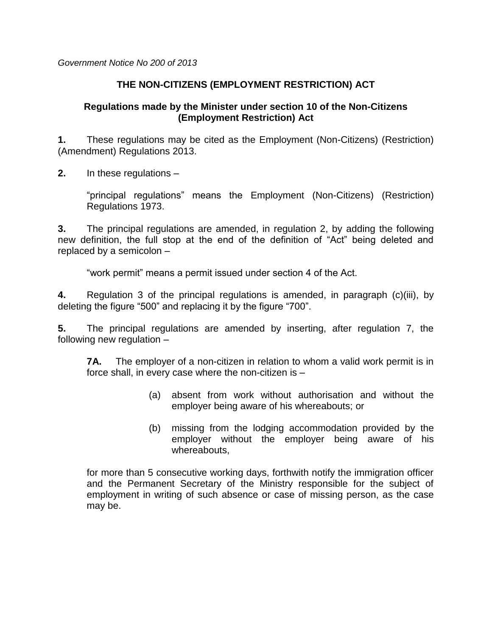*Government Notice No 200 of 2013*

## **THE NON-CITIZENS (EMPLOYMENT RESTRICTION) ACT**

## **Regulations made by the Minister under section 10 of the Non-Citizens (Employment Restriction) Act**

**1.** These regulations may be cited as the Employment (Non-Citizens) (Restriction) (Amendment) Regulations 2013.

**2.** In these regulations –

"principal regulations" means the Employment (Non-Citizens) (Restriction) Regulations 1973.

**3.** The principal regulations are amended, in regulation 2, by adding the following new definition, the full stop at the end of the definition of "Act" being deleted and replaced by a semicolon –

"work permit" means a permit issued under section 4 of the Act.

**4.** Regulation 3 of the principal regulations is amended, in paragraph (c)(iii), by deleting the figure "500" and replacing it by the figure "700".

**5.** The principal regulations are amended by inserting, after regulation 7, the following new regulation –

**7A.** The employer of a non-citizen in relation to whom a valid work permit is in force shall, in every case where the non-citizen is –

- (a) absent from work without authorisation and without the employer being aware of his whereabouts; or
- (b) missing from the lodging accommodation provided by the employer without the employer being aware of his whereabouts,

for more than 5 consecutive working days, forthwith notify the immigration officer and the Permanent Secretary of the Ministry responsible for the subject of employment in writing of such absence or case of missing person, as the case may be.